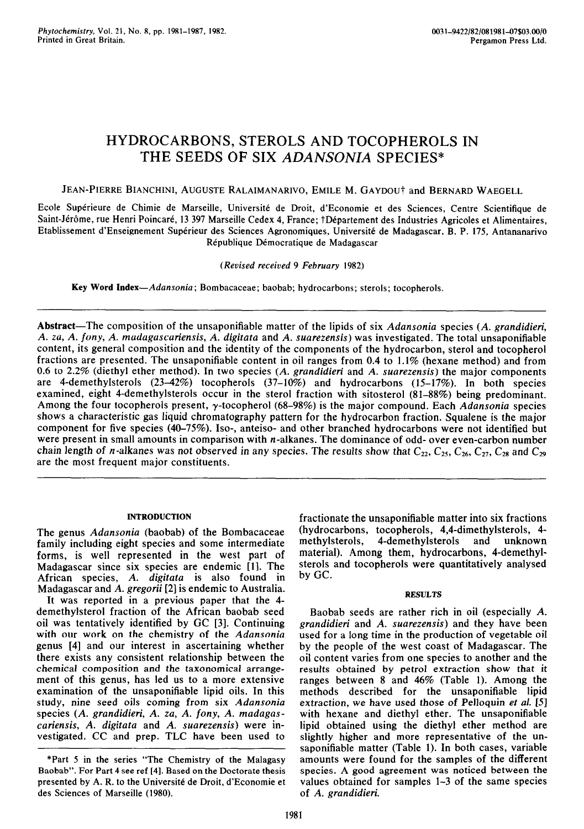# HYDROCARBONS, STEROLS AND TOCOPHEROLS IN THE SEEDS OF SIX *ADANSONIA* SPECIES\*

JEAN-PIERRE BIANCHINI, AUGUSTE RALAIMANARIVO, EMILE M. GAYDOU† and BERNARD WAEGELL

Ecole Supérieure de Chimie de Marseille, Université de Droit, d'Economie et des Sciences, Centre Scientifique de Saint-Jérôme, rue Henri Poincaré, 13 397 Marseille Cedex 4, France; †Département des Industries Agricoles et Alimentaires, Etablissement d'Enseignement Supérieur des Sciences Agronomiques, Université de Madagascar, B. P. 175, Antananarivo République Démocratique de Madagascar

*(Revised received 9 February 1982)* 

Key Word *Index-Adansonia;* Bombacaceae; baobab; hydrocarbons; sterols; tocopherols.

Abstract-The composition of the unsaponifiable matter of the lipids of six *Adansonia* species (A. grandidieri, *A. za, A. fony, A. madagascariensis, A. digitata* and *A. suarezensis)* was investigated. The total unsaponifiable content, its general composition and the identity of the components of the hydrocarbon, sterol and tocopherol fractions are presented. The unsaponifiable content in oil ranges from 0.4 to 1.1% (hexane method) and from 0.6 to 2.2% (diethyl ether method). In two species *(A. grandidieri* and *A. suarezensis)* the major components are 4-demethylsterols (23.42%) tocopherols (37-10%) and hydrocarbons (15-17%). In both species examined, eight 4-demethylsterols occur in the sterol fraction with sitosterol (81-88%) being predominant. Among the four tocopherols present, y-tocopherol (68-98%) is the major compound. Each *Adansonia* species shows a characteristic gas liquid chromatography pattern for the hydrocarbon fraction. Squafene is the major component for five species (40-75%). Iso-, anteiso- and other branched hydrocarbons were not identified but were present in small amounts in comparison with *n*-alkanes. The dominance of odd- over even-carbon number chain length of *n*-alkanes was not observed in any species. The results show that  $C_{22}$ ,  $C_{25}$ ,  $C_{26}$ ,  $C_{27}$ ,  $C_{28}$  and  $C_{29}$ are the most frequent major constituents.

## INTRODUCTION

The genus *Adansonia* (baobab) of the Bombacaceae family including eight species and some intermediate forms, is well represented in the west part of Madagascar since six species are endemic [l]. The African species, *A. digitata* is also found in Madagascar and *A. gregorii [2]* is endemic to Australia.

It was reported in a previous paper that the 4 demethylsterol fraction of the African baobab seed oil was tentatively identified by CC [3]. Continuing with our work on the chemistry of the *Adansoniu*  genus [4] and our interest in ascertaining whether there exists any consistent relationship between the chemical composition and the taxonomical arrangement of this genus, has led us to a more extensive examination of the unsaponifiable lipid oils. In this study, nine seed oils coming from six *Adansonia*  species *(A. grandidieri, A. za, A. fony, A. madagascariensis, A. digitata* and *A. suarezensis)* were investigated. CC and prep. TLC have been used to fractionate the unsaponifiable matter into six fractions (hydrocarbons, tocopherols, 4,4\_dimethylsterols, 4 methylsterols, 4-demethylsterols and unknown material). Among them, hydrocarbons, 4-demethylsterols and tocopherols were quantitatively analysed by GC.

## **RESULTS**

Baobab seeds are rather rich in oil (especially *A. grandidieri* and *A. suarezensis)* and they have been used for a long time in the production of vegetable oil by the people of the west coast of Madagascar. The oil content varies from one species to another and the results obtained by petrol extraction show that it ranges between 8 and 46% (Table 1). Among the methods described for the unsaponifiable lipid extraction, we have used those of Pelloquin et *al. [5]*  with hexane and diethyl ether. The unsaponifiable lipid obtained using the diethyl ether method are slightly higher and more representative of the unsaponifiable matter (Table 1). In both cases, variable amounts were found for the samples of the different species. A good agreement was noticed between the values obtained for samples l-3 of the same species of *A. grandidieri.* 

<sup>\*</sup>Part 5 in the series "The Chemistry of the Malagasy Baobab". For Part 4 see ref [4]. Based on the Doctorate thesis presented by A. R. to the Université de Droit, d'Economie et des Sciences of Marseille (1980).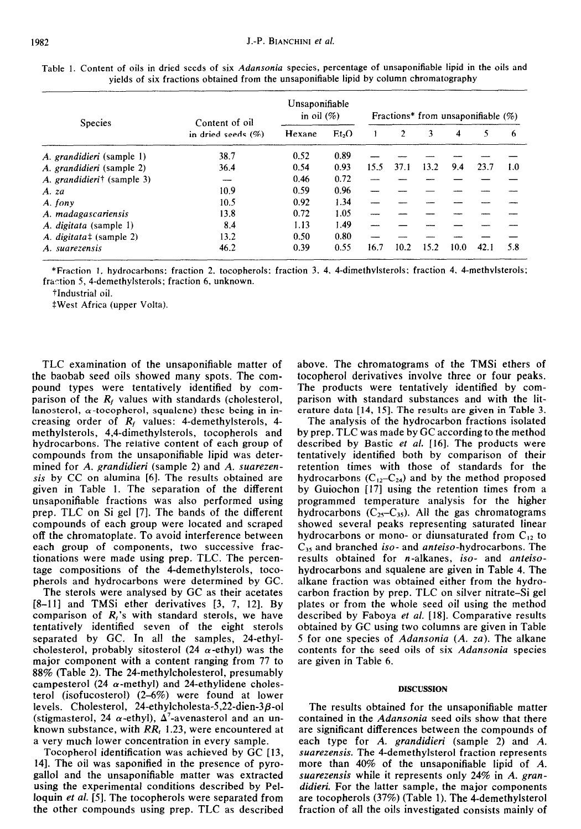| <b>Species</b>                         | Content of oil        | Unsaponifiable<br>in oil $(\%)$ | Fractions* from unsaponifiable $(\%)$ |      |      |      |      |      |     |
|----------------------------------------|-----------------------|---------------------------------|---------------------------------------|------|------|------|------|------|-----|
|                                        | in dried seeds $(\%)$ | Hexane                          | Et <sub>2</sub> O                     |      |      | 3    | 4    | 5    | 6   |
| A. grandidieri (sample 1)              | 38.7                  | 0.52                            | 0.89                                  |      |      |      |      |      |     |
| A. grandidieri (sample 2)              | 36.4                  | 0.54                            | 0.93                                  | 15.5 | 37.1 | 13.2 | 9.4  | 23.7 | 1.0 |
| A. grandidieri <sup>†</sup> (sample 3) |                       | 0.46                            | 0.72                                  |      |      |      |      |      |     |
| A. za                                  | 10.9                  | 0.59                            | 0.96                                  |      |      |      |      |      |     |
| A. fony                                | 10.5                  | 0.92                            | 1.34                                  |      |      |      |      |      |     |
| A. madagascariensis                    | 13.8                  | 0.72                            | 1.05                                  |      |      |      |      |      |     |
| A. digitata (sample 1)                 | 8.4                   | 1.13                            | 1.49                                  |      |      |      |      |      |     |
| A. digitata‡ (sample 2)                | 13.2                  | 0.50                            | 0.80                                  |      |      |      |      |      |     |
| A. suarezensis                         | 46.2                  | 0.39                            | 0.55                                  | 16.7 | 10.2 | 15.2 | 10.0 | 42.1 | 5.8 |

Table 1. Content of oils in dried seeds of six *Adansonia* species, percentage of unsaponifiable lipid in the oils and yields of six fractions obtained from the unsaponifiable lipid by column chromatography

\*Fraction I, hydrocarbons; fraction 2, tocopherols; fraction 3, 4, 4-dimethylsterols; fraction 4, 4-methylsterols; fraction 5, 4-demethylsterols; fraction 6, unknown.

tIndustria1 oil.

\*West Africa (upper Volta).

TLC examination of the unsaponifiable matter of the baobab seed oils showed many spots. The compound types were tentatively identified by comparison of the *R,* values with standards (cholesterol, lanosterol,  $\alpha$ -tocopherol, squalene) these being in increasing order of *R,* values: 4-demethylsterols, 4 methylsterols, 4,4-dimethylsterols, tocopherols and hydrocarbons. The reiative content of each group of compounds from the unsaponifiable lipid was determined for *A. grandidieri* (sample 2) and *A. suarezensis* by CC on alumina [6]. The results obtained are given in Table 1. The separation of the different unsaponifiable fractions was also performed using prep. TLC on Si gel [7]. The bands of the different compounds of each group were located and scraped off the chromatoplate. To avoid interference between each group of components, two successive fractionations were made using prep. TLC. The percentage compositions of the 4-demethylsterols, tocopherols and hydrocarbons were determined by GC.

The sterols were analysed by GC as their acetates [8-11] and TMSi ether derivatives [3, 7, 12]. By comparison of *R,'s* with standard sterols, we have tentatively identified seven of the eight sterols separated by GC. In all the samples, 24-ethylcholesterol, probably sitosterol (24  $\alpha$ -ethyl) was the major component with a content ranging from 77 to 88% (Table 2). The 24-methylcholesterol, presumably campesterol (24  $\alpha$ -methyl) and 24-ethylidene cholesterol (isofucosterol) (2-6%) were found at lower levels. Cholesterol, 24-ethylcholesta-5,22-dien-3 $\beta$ -ol (stigmasterol, 24  $\alpha$ -ethyl),  $\Delta^7$ -avenasterol and an unknown substance, with *RR, 1.23,* were encountered at a very much lower concentration in every sample.

Tocopherol identification was achieved by GC [13, 141. The oil was saponified in the presence of pyrogallol and the unsaponifiable matter was extracted using the experimental conditions described by Pelloquin *et al.* [5]. The tocopherols were separated from the other compounds using prep. TLC as described above. The chromatograms of the TMSi ethers of tocopherol derivatives involve three or four peaks. The products were tentatively identified by comparison with standard substances and with the literature data [14, IS]. The results are given in Table 3.

The analysis of the hydrocarbon fractions isolated by prep. TLC was made by GC according to the method described by Bastic et al. [16]. The products were tentatively identified both by comparison of their retention times with those of standards for the hydrocarbons  $(C_{12}-C_{24})$  and by the method proposed by Guiochon [17] using the retention times from a programmed temperature analysis for the higher hydrocarbons  $(C_{25}-C_{35})$ . All the gas chromatograms showed several peaks representing saturated linear hydrocarbons or mono- or diunsaturated from  $C_{12}$  to C<sub>35</sub> and branched *iso-* and *anteiso-hydrocarbons*. The results obtained for n-alkanes, *iso-* and *anteiso*hydrocarbons and squalene are given in Table 4. The alkane fraction was obtained either from the hydrocarbon fraction by prep. TLC on silver nitrate-Si gel plates or from the whole seed oil using the method described by Faboya et *al.* [18]. Comparative results obtained by GC using two columns are given in Table 5 for one species of *Adansonia (A. za).* The alkane contents for the seed oils of six *Adansonia* species are given in Table 6.

### DISCUSSION

The results obtained for the unsaponifiable matter contained in the *Adansonia* seed oils show that there are significant differences between the compounds of each type for *A. grandidieri* (sample 2) and *A. suarezensis.* The 4-demethylsterol fraction represents more than 40% of the unsaponifiable lipid of *A. suarezensis* while it represents only 24% in *A. grandidieri.* For the latter sample, the major components are tocopherols (37%) (Table 1). The 4-demethylsterol fraction of all the oils investigated consists mainly of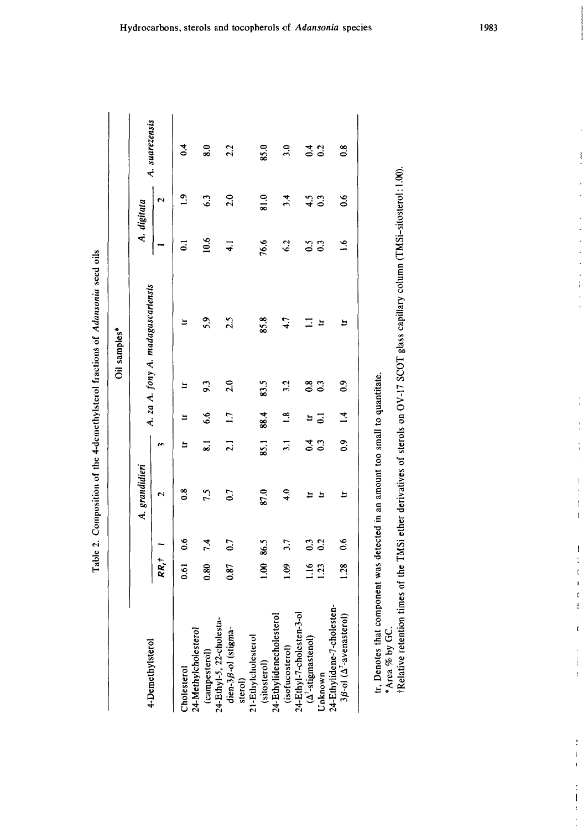| $\frac{1}{2}$ |
|---------------|
|               |
|               |
|               |
|               |
|               |
|               |
|               |
|               |
|               |
|               |
|               |
|               |
|               |
| ٦<br>۲        |

|                                                                                  |                |               |                         |                      |                   |                   | Oil samples*                      |                |                    |                             |
|----------------------------------------------------------------------------------|----------------|---------------|-------------------------|----------------------|-------------------|-------------------|-----------------------------------|----------------|--------------------|-----------------------------|
| 4-Demethylsterol                                                                 |                |               | A. grandidieri          |                      |                   |                   | A. za A. fony A. madagascariensis |                | A. digitata        | A. suarezensis              |
|                                                                                  | RR, İ          |               | $\overline{\mathbf{c}}$ | $\mathbf{\tilde{z}}$ |                   |                   |                                   |                | $\mathbf{\hat{c}}$ |                             |
| 24-Methylcholesterol<br>Cholesterol                                              | 0.61           | 0.6           | $\frac{8}{1}$           | E                    | E                 | Ħ                 | ᄇ                                 | ដ              | $\overline{a}$     | $\ddot{\phantom{0}}$        |
| 24-Ethyl-5, 22-cholesta-<br>(campesterol)                                        | 0.80           | 7.4           | 7.5                     | $\overline{\bullet}$ | $\ddot{\text{o}}$ | 9.3               | 5.9                               | 0.6            | 63                 | $\overline{\phantom{0}8.0}$ |
| dien-3ß-ol (stigma-<br>sterol)                                                   | 0.87           | 0.7           | 0.7                     | $\overline{21}$      | $\overline{11}$   | 2.0               | 2.5                               | $\overline{4}$ | 2.0                | 2.2                         |
| 21-Ethylcholesterol<br>(sitosterol)                                              | $\overline{0}$ | 86.5          | 87.0                    | 85.1                 | 88.4              | 83.5              | 85.8                              | 76.6           | 81.0               | 85.0                        |
| 24-Ethylidenecholesterol<br>(isofucosterol)                                      | $\overline{6}$ | 3.7           | 4.0                     | $\overline{3.1}$     | $\frac{8}{10}$    | 3.2               | 4.7                               | 6.2            | 3.4                | 3.0                         |
| $24-Ethyl-7$ -cholesten-3-ol<br>( $\Delta^7$ -stigmastenol)                      | 1.16           | $\mathbf{C}$  | $\overline{u}$          |                      | ä                 |                   | Ξ                                 |                |                    |                             |
| <b>Unknown</b>                                                                   | 1.23           | 0.2           | $\blacksquare$          | $\frac{4}{0}$ .      | $\overline{c}$    | $\frac{8}{0.3}$   | Ħ                                 | $\frac{5}{6}$  | $4.5$<br>0.3       | 3.2                         |
| 24-Ethylidene-7-cholesten-<br>$3\beta$ -ol ( $\Delta$ <sup>7</sup> -avenasterol) | 1.28           | $\frac{6}{3}$ | Ħ                       | $\overline{0}$       | $\overline{14}$   | $\ddot{\text{o}}$ | a                                 | $\frac{6}{16}$ | $\ddot{\text{o}}$  | $\overline{0.8}$            |
|                                                                                  |                |               |                         |                      |                   |                   |                                   |                |                    |                             |

tr, Denotes that component was detected in an amount too small to quantitate.

\*Area % by GC.

.-.. \_\_." - ."\_\_\_\_.\_ -I.'- -i, \_\_

tr, Denotes that component was detected in an amount too small to quantitate.<br>\*Area % by GC.<br>†Relative retention times of the TMSi ether derivatives of sterols on OV-17 SCOT glass capillary column (TMSi-sitosterol:1.00). tRelative retention times of the TMSi ether derivatives of sterols on OV-17 SCOT glass capillary column (TMSi-sitosterol: 1.00).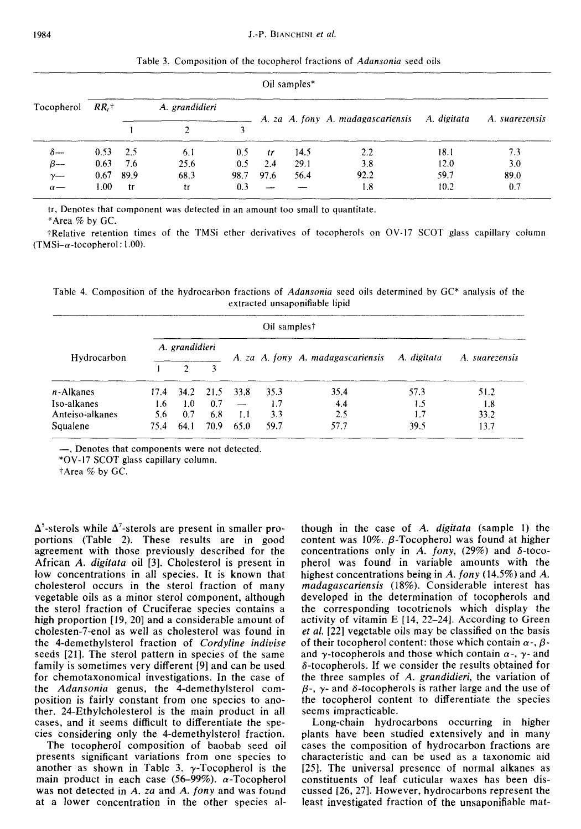|            | Oil samples* |      |                |      |      |      |                                               |      |                |  |  |
|------------|--------------|------|----------------|------|------|------|-----------------------------------------------|------|----------------|--|--|
| Tocopherol | $RR.$ †      |      | A. grandidieri |      |      |      | A. za A. fony A. madagascariensis A. digitata |      | A. suarezensis |  |  |
|            |              |      |                |      |      |      |                                               |      |                |  |  |
| δ---       | 0.53         | 2.5  | 6.1            | 0.5  | tr   | 14.5 | 2.2                                           | 18.1 | 7.3            |  |  |
| $\beta-$   | 0.63         | 7.6  | 25.6           | 0.5  | 2.4  | 29.1 | 3.8                                           | 12.0 | 3.0            |  |  |
| $\gamma$ — | 0.67         | 89.9 | 68.3           | 98.7 | 97.6 | 56.4 | 92.2                                          | 59.7 | 89.0           |  |  |
| $\alpha$ — | $1.00\,$     | -tr  | tr             | 0.3  |      |      | 1.8                                           | 10.2 | 0.7            |  |  |

Table 3. Composition of the tocopherol fractions of *Adansonia* seed oils

tr, Denotes that component was detected in an amount too small to quantitate.

\*Area % by GC.

TRelative retention times of the TMSi ether derivatives of tocopherols on OV-17 SCOT glass capillary column  $(TMSi-\alpha$ -tocopherol: 1.00).

Table 4. Composition of the hydrocarbon fractions of *Adansonia* seed oils determined by CC\* analysis of the extracted unsaponifiable lipid

|                 |      |                             |      |      | Oil samples <sup>†</sup> |                                   |             |                |
|-----------------|------|-----------------------------|------|------|--------------------------|-----------------------------------|-------------|----------------|
| Hydrocarbon     |      | A. grandidieri              |      |      |                          | A. za A. fony A. madagascariensis | A. digitata | A. suarezensis |
|                 |      | 2                           | 3    |      |                          |                                   |             |                |
| n-Alkanes       |      | $17.4$ $34.2$ $21.5$ $33.8$ |      |      | 35.3                     | 35.4                              | 57.3        | 51.2           |
| Iso-alkanes     | 1.6  | 1.0                         | 0.7  |      | 1.7                      | 4.4                               | 1.5         | 1.8            |
| Anteiso-alkanes | 5.6  | 0.7                         | 6.8  | 1.1  | 3.3                      | 2.5                               | 1.7         | 33.2           |
| Squalene        | 75.4 | 64.1                        | 70.9 | 65.0 | 59.7                     | 57.7                              | 39.5        | 13.7           |

-, Denotes that components were not detected.

\*OV-I7 SCOT glass capillary column.

tArea % by GC.

 $\Delta^5$ -sterols while  $\Delta^7$ -sterols are present in smaller proportions (Table 2). These results are in good agreement with those previously described for the African *A. digitata* oil [3]. Cholesterol is present in low concentrations in all species. It is known that cholesterol occurs in the sterol fraction of many vegetable oils as a minor sterol component, although the sterol fraction of Cruciferae species contains a high proportion [19, 20] and a considerable amount of cholesten-7-enol as well as cholesterol was found in the 4-demethylsterol fraction of *Cordyline indivise*  seeds [21]. The sterol pattern in species of the same family is sometimes very different [9] and can be used for chemotaxonomical investigations. In the case of the *Adansoniu* genus, the 4-demethylsterol composition is fairly constant from one species to another. 24-Ethylcholesterol is the main product in all cases, and it seems difficult to differentiate the species considering only the 4-demethylsterol fraction.

The tocopherol composition of baobab seed oil presents significant variations from one species to another as shown in Table 3.  $\gamma$ -Tocopherol is the main product in each case (56-99%).  $\alpha$ -Tocopherol was not detected in *A. zu* and *A. fony* and was found at a lower concentration in the other species although in the case of *A. digitata* (sample 1) the content was  $10\%$ .  $\beta$ -Tocopherol was found at higher concentrations only in A.  $fony$ ,  $(29%)$  and  $\delta$ -tocopherol was found in variable amounts with the highest concentrations being in *A. fony* (14.5%) and *A. muduguscuriensis* (18%). Considerable interest has developed in the determination of tocopherols and the corresponding tocotrienols which display the activity of vitamin E [14, 22-24]. According to Green et al. [22] vegetable oils may be classified on the basis of their tocopherol content: those which contain  $\alpha$ -,  $\beta$ and  $\gamma$ -tocopherols and those which contain  $\alpha$ -,  $\gamma$ - and  $\delta$ -tocopherols. If we consider the results obtained for the three samples of *A. grundidieri,* the variation of  $\beta$ -,  $\gamma$ - and  $\delta$ -tocopherols is rather large and the use of the tocopherol content to differentiate the species seems impracticable.

Long-chain hydrocarbons occurring in higher plants have been studied extensively and in many cases the composition of hydrocarbon fractions are characteristic and can be used as a taxonomic aid [25]. The universal presence of normal alkanes as constituents of leaf cuticular waxes has been discussed [26,27]. However, hydrocarbons represent the least investigated fraction of the unsaponifiable mat-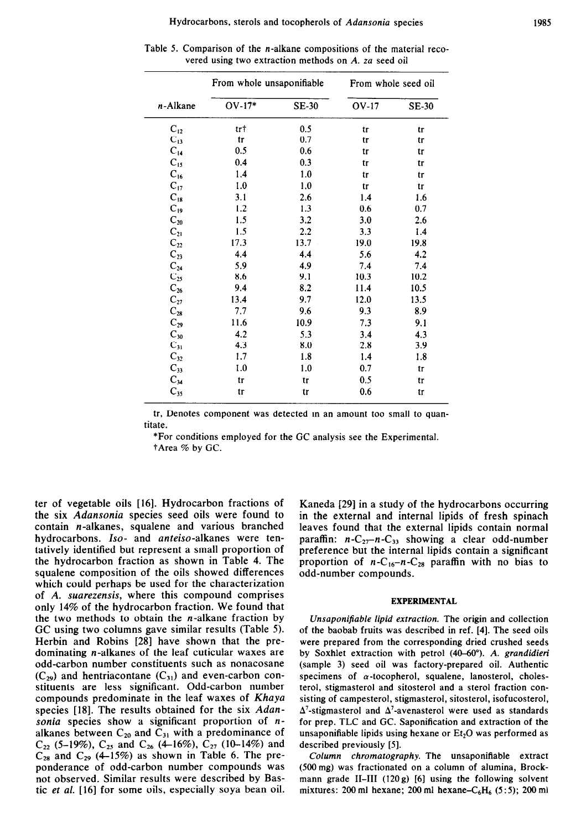|                           | From whole unsaponifiable |              | From whole seed oil |              |
|---------------------------|---------------------------|--------------|---------------------|--------------|
| n-Alkane                  | $OV-17*$                  | <b>SE-30</b> | <b>OV-17</b>        | <b>SE-30</b> |
| $C_{12}$                  | tr†                       | 0.5          | tг                  | tr           |
| $C_{13}$                  | tr                        | 0.7          | tr                  | tr           |
| $C_{14}$                  | 0.5                       | 0.6          | tr                  | tr           |
| $C_{15}$                  | 0.4                       | 0.3          | tг                  | tr           |
| $C_{16}$                  | 1.4                       | 1.0          | tr                  | tr           |
| $C_{17}$                  | 1.0                       | 1.0          | tr                  | tг           |
| $C_{18}$                  | 3.1                       | 2.6          | 1.4                 | 1.6          |
| $C_{19}$                  | 1.2                       | 1.3          | 0.6                 | 0.7          |
| $C_{20}$                  | 1.5                       | 3.2          | 3.0                 | 2.6          |
| $\mathrm{C}_{21}$         | 1.5                       | 2.2          | 3.3                 | 1.4          |
| $C_{22}$                  | 17.3                      | 13.7         | 19.0                | 19.8         |
| $C_{23}$                  | 4.4                       | 4.4          | 5.6                 | 4.2          |
| $C_{24}$<br>$C_{25}$      | 5.9                       | 4.9          | 7.4                 | 7.4          |
|                           | 8.6                       | 9.1          | 10.3                | 10.2         |
| $C_{26}$                  | 9.4                       | 8.2          | 11.4                | 10.5         |
| $\rm C_{27} \atop C_{28}$ | 13.4                      | 9.7          | 12.0                | 13.5         |
|                           | 7.7                       | 9.6          | 9.3                 | 8.9          |
| $C_{29}$                  | 11.6                      | 10.9         | 7.3                 | 9.1          |
| $C_{30}$                  | 4.2                       | 5.3          | 3.4                 | 4.3          |
| $C_{31}$                  | 4.3                       | 8.0          | 2.8                 | 3.9          |
| $C_{32}$                  | 1.7                       | 1.8          | 1.4                 | 1.8          |
| $\mathrm{C}_{33}$         | 1.0                       | 1.0          | 0.7                 | tr           |
| $C_{34}$                  | tr                        | tr           | 0.5                 | tr           |
| $C_{35}$                  | tг                        | tr           | 0.6                 | tг           |

Table 5. Comparison of the n-alkane compositions of the material recovered using two extraction methods on *A. za* seed oil

tr, Denotes component was detected in an amount too small to quantitate.

\*For conditions employed for the GC analysis see the Experimental. tArea % by CC.

ter of vegetable oils [16]. Hydrocarbon fractions of the six *Adansonia* species seed oils were found to contain n-alkanes, squalene and various branched hydrocarbons. Iso- and anteiso-alkanes were tentatively identified but represent a small proportion of the hydrocarbon fraction as shown in Table 4. The squalene composition of the oils showed differences which could perhaps be used for the characterization of *A. suarezensis,* where this compound comprises only 14% of the hydrocarbon fraction. We found that the two methods to obtain the  $n$ -alkane fraction by GC using two columns gave similar results (Table 5). Herbin and Robins [28] have shown that the predominating n-alkanes of the leaf cuticular waxes are odd-carbon number constituents such as nonacosane  $(C_{29})$  and hentriacontane  $(C_{31})$  and even-carbon constituents are less significant. Odd-carbon number compounds predominate in the leaf waxes of *Khaya*  species [18]. The results obtained for the six *Adansonia* species show a significant proportion of *n*alkanes between  $C_{20}$  and  $C_{31}$  with a predominance of  $C_{22}$  (5-19%),  $C_{25}$  and  $C_{26}$  (4-16%),  $C_{27}$  (10-14%) and  $C_{28}$  and  $C_{29}$  (4-15%) as shown in Table 6. The preponderance of odd-carbon number compounds was not observed. Similar results were described by Bastic et *al.* [16] for some oils, especially soya bean oil. Kaneda [29] in a study of the hydrocarbons occurring in the external and internal lipids of fresh spinach leaves found that the external lipids contain normal paraffin:  $n-C_{27}-n-C_{33}$  showing a clear odd-number preference but the internal lipids contain a significant proportion of  $n-C_{16}-n-C_{28}$  paraffin with no bias to odd-number compounds.

#### EXPERIMENTAL

*Unsaponifiable lipid extraction.* The origin and collection of the baobab fruits was described in ref. [4]. The seed oils were prepared from the corresponding dried crushed seeds by Soxhlet extraction with petrol (40-60°). A. grandidieri (sample 3) seed oil was factory-prepared oil. Authentic specimens of  $\alpha$ -tocopherol, squalene, lanosterol, cholesterol, stigmasterol and sitosterol and a sterol fraction consisting of campesterol, stigmasterol, sitosterol, isofucosterol,  $\Delta^7$ -stigmasterol and  $\Delta^7$ -avenasterol were used as standards for prep. TLC and GC. Saponification and extraction of the unsaponifiable lipids using hexane or  $Et<sub>2</sub>O$  was performed as described previously [5].

Column *chromatography.* The unsaponifiable extract (5OOmg) was fractionated on a column of alumina, Brockmann grade II-III  $(120g)$  [6] using the following solvent mixtures: 200 ml hexane; 200 ml hexane-C<sub>6</sub>H<sub>6</sub> (5:5); 200 ml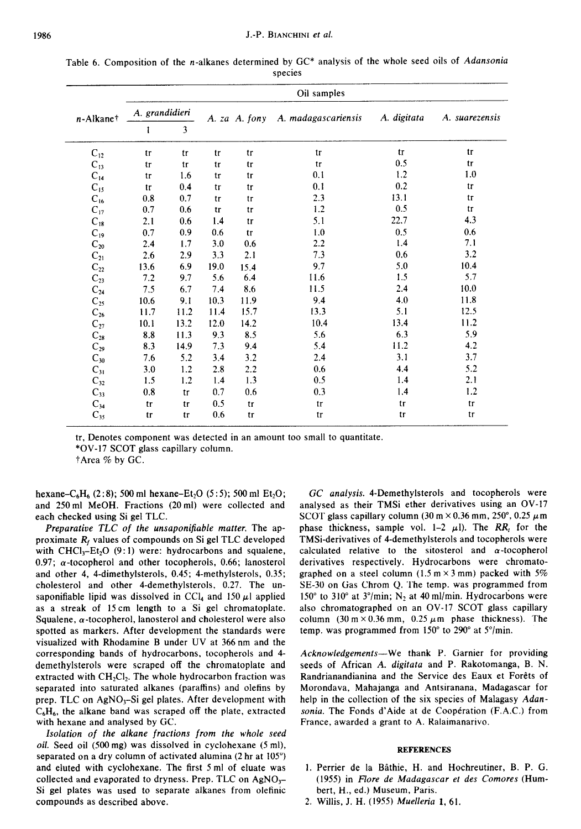|                       | Oil samples    |      |      |               |                     |             |                |  |  |  |  |
|-----------------------|----------------|------|------|---------------|---------------------|-------------|----------------|--|--|--|--|
| n-Alkane <sup>†</sup> | A. grandidieri |      |      | A. za A. fony | A. madagascariensis | A. digitata | A. suarezensis |  |  |  |  |
|                       | ı              | 3    |      |               |                     |             |                |  |  |  |  |
| $C_{12}$              | tr             | tr   | tr   | tr            | tr                  | tr          | tr             |  |  |  |  |
| $C_{13}$              | tr             | tr   | tr   | tr            | tr                  | 0.5         | tr             |  |  |  |  |
| $C_{14}$              | tr             | 1.6  | tr   | tr            | 0.1                 | 1.2         | 1.0            |  |  |  |  |
| $C_{15}$              | tr             | 0.4  | tr   | tr            | 0.1                 | 0.2         | tr             |  |  |  |  |
| $C_{16}$              | 0.8            | 0.7  | tr   | tr            | 2.3                 | 13.1        | tr             |  |  |  |  |
| $C_{17}$              | 0.7            | 0.6  | tr   | tr            | 1.2                 | 0.5         | tr             |  |  |  |  |
| $C_{18}$              | 2.1            | 0.6  | 1.4  | tr            | 5.1                 | 22.7        | 4.3            |  |  |  |  |
| $C_{19}$              | 0.7            | 0.9  | 0.6  | tr            | 1.0                 | 0.5         | 0.6            |  |  |  |  |
| $\mathrm{C}_{20}$     | 2.4            | 1.7  | 3.0  | 0.6           | 2.2                 | 1.4         | 7.1            |  |  |  |  |
| $\mathrm{C}_{21}$     | 2.6            | 2.9  | 3.3  | 2.1           | 7.3                 | 0.6         | 3.2            |  |  |  |  |
| $C_{22}$              | 13.6           | 6.9  | 19.0 | 15.4          | 9.7                 | 5.0         | 10.4           |  |  |  |  |
| $\mathrm{C}_{23}$     | 7.2            | 9.7  | 5.6  | 6.4           | 11.6                | 1.5         | 5.7            |  |  |  |  |
| $C_{24}$              | 7.5            | 6.7  | 7.4  | 8.6           | 11.5                | 2.4         | 10.0           |  |  |  |  |
| $C_{25}$              | 10.6           | 9.1  | 10.3 | 11.9          | 9.4                 | 4.0         | 11.8           |  |  |  |  |
| $\mathrm{C}_{26}$     | 11.7           | 11.2 | 11.4 | 15.7          | 13.3                | 5.1         | 12.5           |  |  |  |  |
| $\mathrm{C}_{27}$     | 10.1           | 13.2 | 12.0 | 14.2          | 10.4                | 13.4        | 11.2           |  |  |  |  |
| $\mathrm{C}_{28}$     | 8.8            | 11.3 | 9.3  | 8.5           | 5.6                 | 6.3         | 5.9            |  |  |  |  |
| $C_{29}$              | 8.3            | 14.9 | 7.3  | 9.4           | 5.4                 | 11.2        | 4.2            |  |  |  |  |
| $C_{30}$              | 7.6            | 5.2  | 3.4  | 3.2           | 2.4                 | 3.1         | 3.7            |  |  |  |  |
| $C_{31}$              | 3.0            | 1.2  | 2.8  | 2.2           | 0.6                 | 4.4         | 5.2            |  |  |  |  |
| $C_{32}$              | 1.5            | 1.2  | 1.4  | 1.3           | 0.5                 | 1.4         | 2.1            |  |  |  |  |
| $C_{33}$              | 0.8            | tr   | 0.7  | 0.6           | 0.3                 | 1.4         | 1.2            |  |  |  |  |
| $C_{34}$              | tr             | tr   | 0.5  | tr            | tr                  | tr          | tr             |  |  |  |  |
| $C_{35}$              | tr             | tr   | 0.6  | tr            | tr                  | tr          | tr             |  |  |  |  |

Table 6. Composition of the n-alkanes determined by GC\* analysis of the whole seed oils of Adansonia species

tr, Denotes component was detected in an amount too small to quantitate.

\*OV-17 SCOT glass capillary column.

tArea % by GC.

hexane-C<sub>6</sub>H<sub>6</sub> (2:8); 500 ml hexane-Et<sub>2</sub>O (5:5); 500 ml Et<sub>2</sub>O; and 250 ml MeOH. Fractions (20 ml) were collected and each checked using Si gel TLC.

*Preparative TLC of the unsaponifiable matter.* The approximate  $R_f$  values of compounds on Si gel TLC developed with CHCl<sub>3</sub>-Et<sub>2</sub>O (9:1) were: hydrocarbons and squalene, 0.97;  $\alpha$ -tocopherol and other tocopherols, 0.66; lanosterol and other 4, 4-dimethylsterols, 0.45; 4-methylsterols, 0.35; cholesterol and other 4\_demethylsterols, 0.27. The unsaponifiable lipid was dissolved in CCl<sub>4</sub> and 150  $\mu$ l applied as a streak of 15 cm length to a Si gel chromatoplate. Squalene,  $\alpha$ -tocopherol, lanosterol and cholesterol were also spotted as markers. After development the standards were visualized with Rhodamine B under UV at 366nm and the corresponding bands of hydrocarbons, tocopherols and 4 demethylsterols were scraped off the chromatoplate and extracted with  $CH<sub>2</sub>Cl<sub>2</sub>$ . The whole hydrocarbon fraction was separated into saturated alkanes (paraffins) and olefins by prep. TLC on AgNO<sub>3</sub>-Si gel plates. After development with  $C_6H_6$ , the alkane band was scraped off the plate, extracted with hexane and analysed by GC.

*Isolation of the alkane fractions from the whole seed oil.* Seed oil (500 mg) was dissolved in cyclohexane (5 ml), separated on a dry column of activated alumina (2 hr at 105") and eluted with cyclohexane. The first 5 ml of eluate was collected and evaporated to dryness. Prep. TLC on  $AgNO<sub>3</sub>-$ Si gel plates was used to separate alkanes from olefinic compounds as described above.

*GC analysis.* 4-Demethylsterols and tocopherols were analysed as their TMSi ether derivatives using an OV-17 SCOT glass capillary column (30 m  $\times$  0.36 mm, 250°, 0.25  $\mu$ m phase thickness, sample vol. 1-2  $\mu$ 1). The RR, for the TMSi-derivatives of 4-demethylsterols and tocopherols were calculated relative to the sitosterol and  $\alpha$ -tocopherol derivatives respectively. Hydrocarbons were chromatographed on a steel column (1.5 m  $\times$  3 mm) packed with 5% SE-30 on Gas Chrom Q. The temp. was programmed from 150 $^{\circ}$  to 310 $^{\circ}$  at 3 $^{\circ}$ /min; N<sub>2</sub> at 40 ml/min. Hydrocarbons were also chromatographed on an OV-17 SCOT glass capillary column (30 m  $\times$  0.36 mm, 0.25  $\mu$ m phase thickness). The temp. was programmed from  $150^{\circ}$  to  $290^{\circ}$  at  $5^{\circ}/\text{min}$ .

*Acknowledgements-We* thank P. Garnier for providing seeds of African *A. digitata* and P. Rakotomanga, B. N. Randrianandianina and the Service des Eaux et Forêts of Morondava, Mahajanga and Antsiranana, Madagascar for help in the collection of the six species of Malagasy *Adansonia.* The Fonds d'Aide at de Cooperation (F.A.C.) from France, awarded a grant to A. Ralaimanarivo.

## **REFERENCES**

- 1. Perrier de la Bgthie, H. and Hochreutiner, B. P. G. (1955) in Flare *de Madagascar ef des Comores* (Humbert, H., ed.) Museum, Paris.
- 2. Willis, J. H. (1955) Muelleria I, 61.